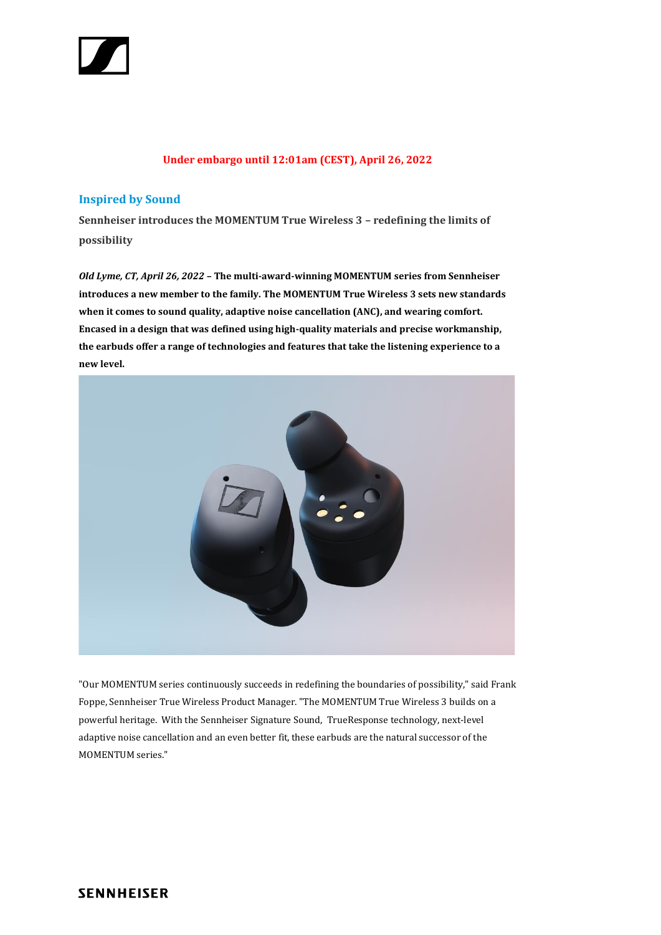

## **Under embargo until 12:01am (CEST), April 26, 2022**

# **Inspired by Sound**

**Sennheiser introduces the MOMENTUM True Wireless 3 – redefining the limits of possibility**

*Old Lyme, CT, April 26, 2022* **– The multi-award-winning MOMENTUM series from Sennheiser introduces a new member to the family. The MOMENTUM True Wireless 3 sets new standards when it comes to sound quality, adaptive noise cancellation (ANC), and wearing comfort. Encased in a design that was defined using high-quality materials and precise workmanship, the earbuds offer a range of technologies and features that take the listening experience to a new level.**



"Our MOMENTUM series continuously succeeds in redefining the boundaries of possibility," said Frank Foppe, Sennheiser True Wireless Product Manager. "The MOMENTUM True Wireless 3 builds on a powerful heritage. With the Sennheiser Signature Sound, TrueResponse technology, next-level adaptive noise cancellation and an even better fit, these earbuds are the natural successor of the MOMENTUM series."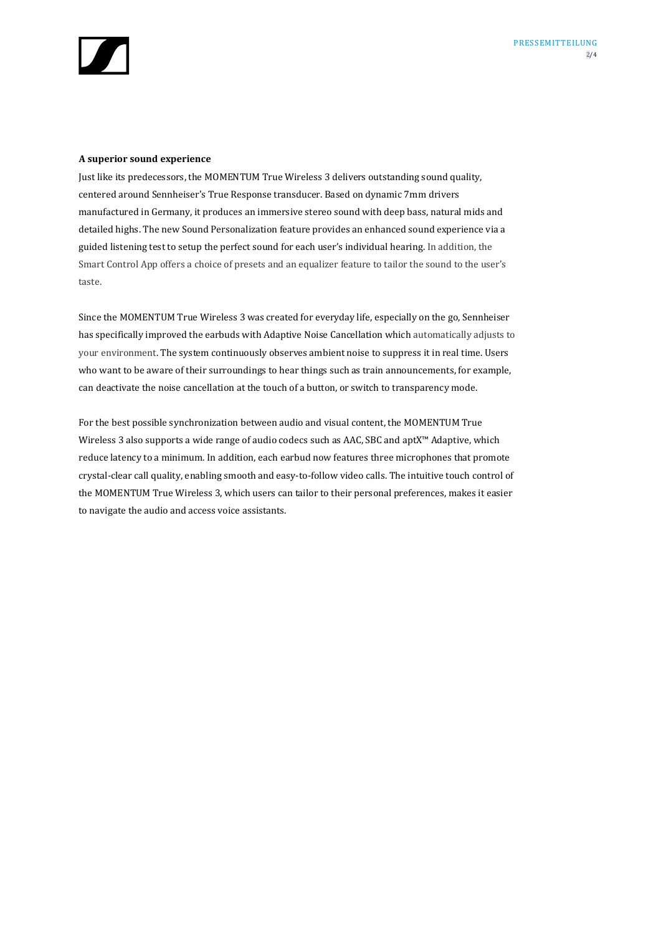

#### **A superior sound experience**

Just like its predecessors, the MOMENTUM True Wireless 3 delivers outstanding sound quality, centered around Sennheiser's True Response transducer. Based on dynamic 7mm drivers manufactured in Germany, it produces an immersive stereo sound with deep bass, natural mids and detailed highs. The new Sound Personalization feature provides an enhanced sound experience via a guided listening test to setup the perfect sound for each user's individual hearing. In addition, the Smart Control App offers a choice of presets and an equalizer feature to tailor the sound to the user's taste.

Since the MOMENTUM True Wireless 3 was created for everyday life, especially on the go, Sennheiser has specifically improved the earbuds with Adaptive Noise Cancellation which automatically adjusts to your environment. The system continuously observes ambient noise to suppress it in real time. Users who want to be aware of their surroundings to hear things such as train announcements, for example, can deactivate the noise cancellation at the touch of a button, or switch to transparency mode.

For the best possible synchronization between audio and visual content, the MOMENTUM True Wireless 3 also supports a wide range of audio codecs such as AAC, SBC and aptX™ Adaptive, which reduce latency to a minimum. In addition, each earbud now features three microphones that promote crystal-clear call quality, enabling smooth and easy-to-follow video calls. The intuitive touch control of the MOMENTUM True Wireless 3, which users can tailor to their personal preferences, makes it easier to navigate the audio and access voice assistants.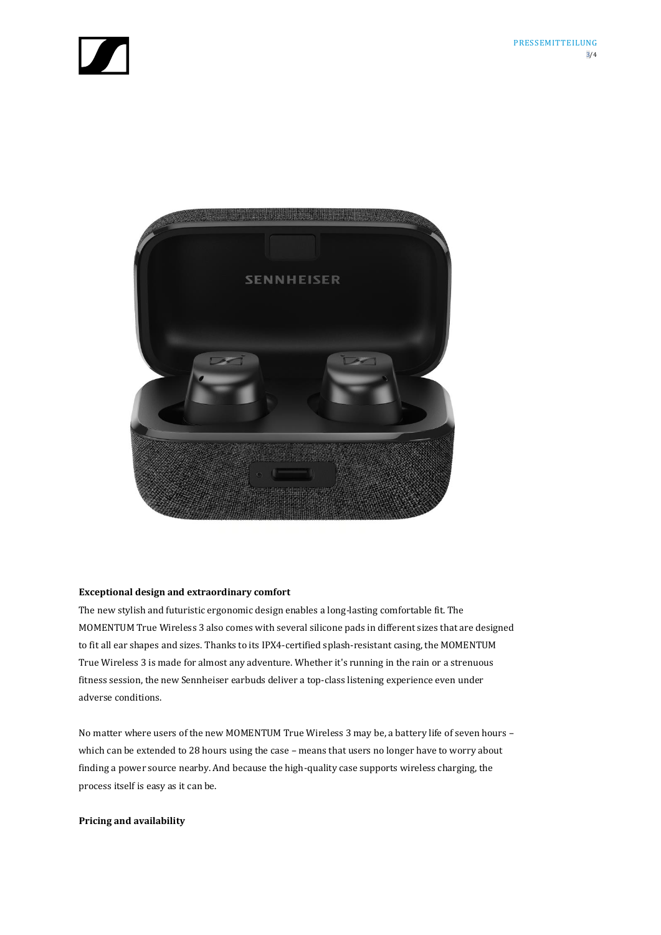



#### **Exceptional design and extraordinary comfort**

The new stylish and futuristic ergonomic design enables a long-lasting comfortable fit. The MOMENTUM True Wireless 3 also comes with several silicone pads in different sizes that are designed to fit all ear shapes and sizes. Thanks to its IPX4-certified splash-resistant casing, the MOMENTUM True Wireless 3 is made for almost any adventure. Whether it's running in the rain or a strenuous fitness session, the new Sennheiser earbuds deliver a top-class listening experience even under adverse conditions.

No matter where users of the new MOMENTUM True Wireless 3 may be, a battery life of seven hours – which can be extended to 28 hours using the case – means that users no longer have to worry about finding a power source nearby. And because the high-quality case supports wireless charging, the process itself is easy as it can be.

### **Pricing and availability**